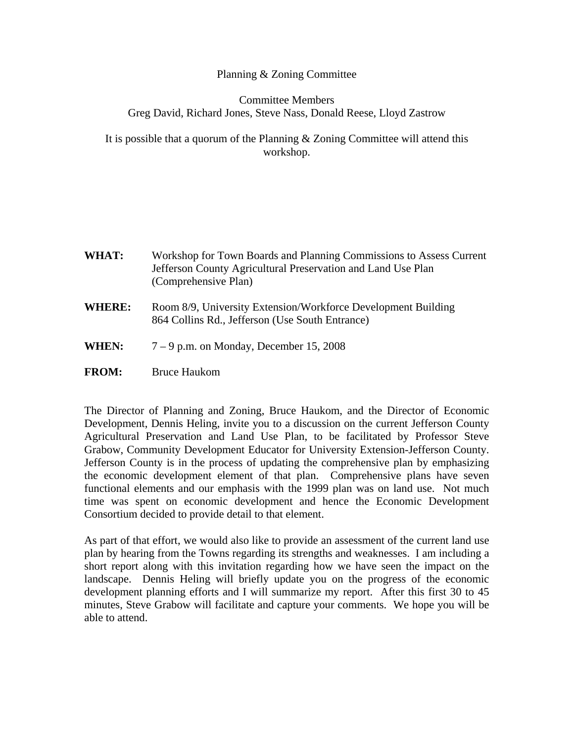## Planning & Zoning Committee

## Committee Members Greg David, Richard Jones, Steve Nass, Donald Reese, Lloyd Zastrow

It is possible that a quorum of the Planning & Zoning Committee will attend this workshop.

| WHAT:         | Workshop for Town Boards and Planning Commissions to Assess Current<br>Jefferson County Agricultural Preservation and Land Use Plan<br>(Comprehensive Plan) |
|---------------|-------------------------------------------------------------------------------------------------------------------------------------------------------------|
| <b>WHERE:</b> | Room 8/9, University Extension/Workforce Development Building<br>864 Collins Rd., Jefferson (Use South Entrance)                                            |
| WHEN:         | $7-9$ p.m. on Monday, December 15, 2008                                                                                                                     |

**FROM:** Bruce Haukom

The Director of Planning and Zoning, Bruce Haukom, and the Director of Economic Development, Dennis Heling, invite you to a discussion on the current Jefferson County Agricultural Preservation and Land Use Plan, to be facilitated by Professor Steve Grabow, Community Development Educator for University Extension-Jefferson County. Jefferson County is in the process of updating the comprehensive plan by emphasizing the economic development element of that plan. Comprehensive plans have seven functional elements and our emphasis with the 1999 plan was on land use. Not much time was spent on economic development and hence the Economic Development Consortium decided to provide detail to that element.

As part of that effort, we would also like to provide an assessment of the current land use plan by hearing from the Towns regarding its strengths and weaknesses. I am including a short report along with this invitation regarding how we have seen the impact on the landscape. Dennis Heling will briefly update you on the progress of the economic development planning efforts and I will summarize my report. After this first 30 to 45 minutes, Steve Grabow will facilitate and capture your comments. We hope you will be able to attend.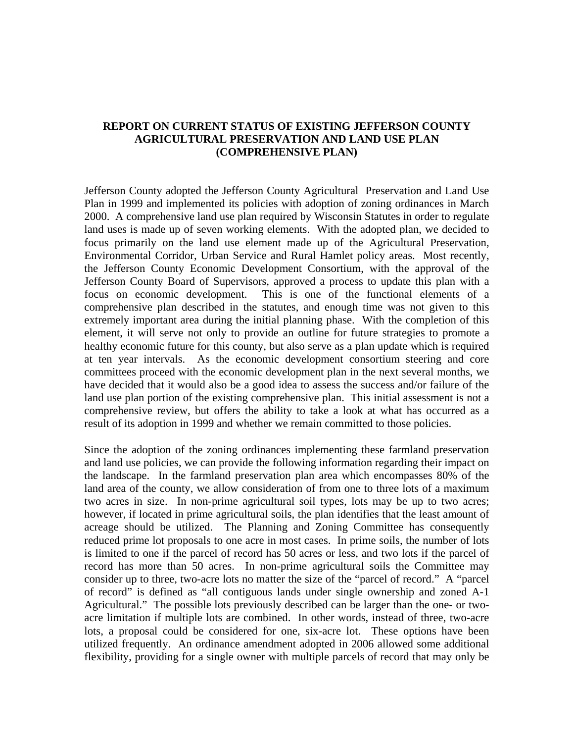## **REPORT ON CURRENT STATUS OF EXISTING JEFFERSON COUNTY AGRICULTURAL PRESERVATION AND LAND USE PLAN (COMPREHENSIVE PLAN)**

Jefferson County adopted the Jefferson County Agricultural Preservation and Land Use Plan in 1999 and implemented its policies with adoption of zoning ordinances in March 2000. A comprehensive land use plan required by Wisconsin Statutes in order to regulate land uses is made up of seven working elements. With the adopted plan, we decided to focus primarily on the land use element made up of the Agricultural Preservation, Environmental Corridor, Urban Service and Rural Hamlet policy areas. Most recently, the Jefferson County Economic Development Consortium, with the approval of the Jefferson County Board of Supervisors, approved a process to update this plan with a focus on economic development. This is one of the functional elements of a comprehensive plan described in the statutes, and enough time was not given to this extremely important area during the initial planning phase. With the completion of this element, it will serve not only to provide an outline for future strategies to promote a healthy economic future for this county, but also serve as a plan update which is required at ten year intervals. As the economic development consortium steering and core committees proceed with the economic development plan in the next several months, we have decided that it would also be a good idea to assess the success and/or failure of the land use plan portion of the existing comprehensive plan. This initial assessment is not a comprehensive review, but offers the ability to take a look at what has occurred as a result of its adoption in 1999 and whether we remain committed to those policies.

Since the adoption of the zoning ordinances implementing these farmland preservation and land use policies, we can provide the following information regarding their impact on the landscape. In the farmland preservation plan area which encompasses 80% of the land area of the county, we allow consideration of from one to three lots of a maximum two acres in size. In non-prime agricultural soil types, lots may be up to two acres; however, if located in prime agricultural soils, the plan identifies that the least amount of acreage should be utilized. The Planning and Zoning Committee has consequently reduced prime lot proposals to one acre in most cases. In prime soils, the number of lots is limited to one if the parcel of record has 50 acres or less, and two lots if the parcel of record has more than 50 acres. In non-prime agricultural soils the Committee may consider up to three, two-acre lots no matter the size of the "parcel of record." A "parcel of record" is defined as "all contiguous lands under single ownership and zoned A-1 Agricultural." The possible lots previously described can be larger than the one- or twoacre limitation if multiple lots are combined. In other words, instead of three, two-acre lots, a proposal could be considered for one, six-acre lot. These options have been utilized frequently. An ordinance amendment adopted in 2006 allowed some additional flexibility, providing for a single owner with multiple parcels of record that may only be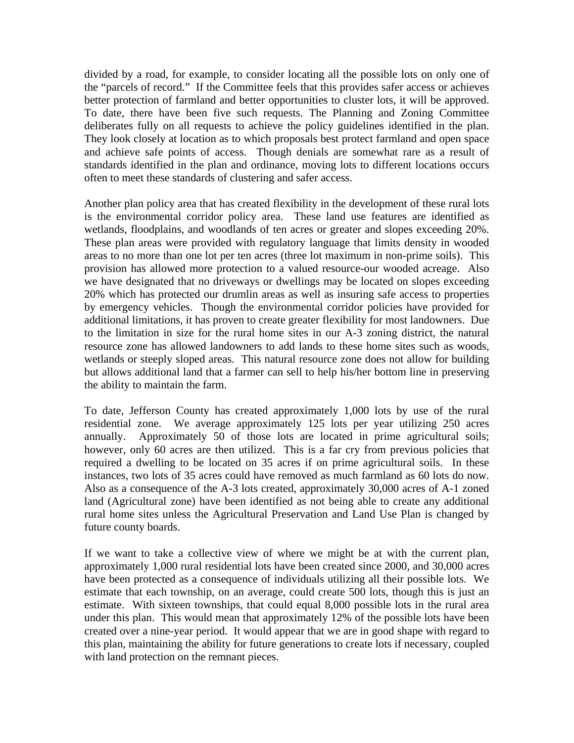divided by a road, for example, to consider locating all the possible lots on only one of the "parcels of record." If the Committee feels that this provides safer access or achieves better protection of farmland and better opportunities to cluster lots, it will be approved. To date, there have been five such requests. The Planning and Zoning Committee deliberates fully on all requests to achieve the policy guidelines identified in the plan. They look closely at location as to which proposals best protect farmland and open space and achieve safe points of access. Though denials are somewhat rare as a result of standards identified in the plan and ordinance, moving lots to different locations occurs often to meet these standards of clustering and safer access.

Another plan policy area that has created flexibility in the development of these rural lots is the environmental corridor policy area. These land use features are identified as wetlands, floodplains, and woodlands of ten acres or greater and slopes exceeding 20%. These plan areas were provided with regulatory language that limits density in wooded areas to no more than one lot per ten acres (three lot maximum in non-prime soils). This provision has allowed more protection to a valued resource-our wooded acreage. Also we have designated that no driveways or dwellings may be located on slopes exceeding 20% which has protected our drumlin areas as well as insuring safe access to properties by emergency vehicles. Though the environmental corridor policies have provided for additional limitations, it has proven to create greater flexibility for most landowners. Due to the limitation in size for the rural home sites in our A-3 zoning district, the natural resource zone has allowed landowners to add lands to these home sites such as woods, wetlands or steeply sloped areas. This natural resource zone does not allow for building but allows additional land that a farmer can sell to help his/her bottom line in preserving the ability to maintain the farm.

To date, Jefferson County has created approximately 1,000 lots by use of the rural residential zone. We average approximately 125 lots per year utilizing 250 acres annually. Approximately 50 of those lots are located in prime agricultural soils; however, only 60 acres are then utilized. This is a far cry from previous policies that required a dwelling to be located on 35 acres if on prime agricultural soils. In these instances, two lots of 35 acres could have removed as much farmland as 60 lots do now. Also as a consequence of the A-3 lots created, approximately 30,000 acres of A-1 zoned land (Agricultural zone) have been identified as not being able to create any additional rural home sites unless the Agricultural Preservation and Land Use Plan is changed by future county boards.

If we want to take a collective view of where we might be at with the current plan, approximately 1,000 rural residential lots have been created since 2000, and 30,000 acres have been protected as a consequence of individuals utilizing all their possible lots. We estimate that each township, on an average, could create 500 lots, though this is just an estimate. With sixteen townships, that could equal 8,000 possible lots in the rural area under this plan. This would mean that approximately 12% of the possible lots have been created over a nine-year period. It would appear that we are in good shape with regard to this plan, maintaining the ability for future generations to create lots if necessary, coupled with land protection on the remnant pieces.